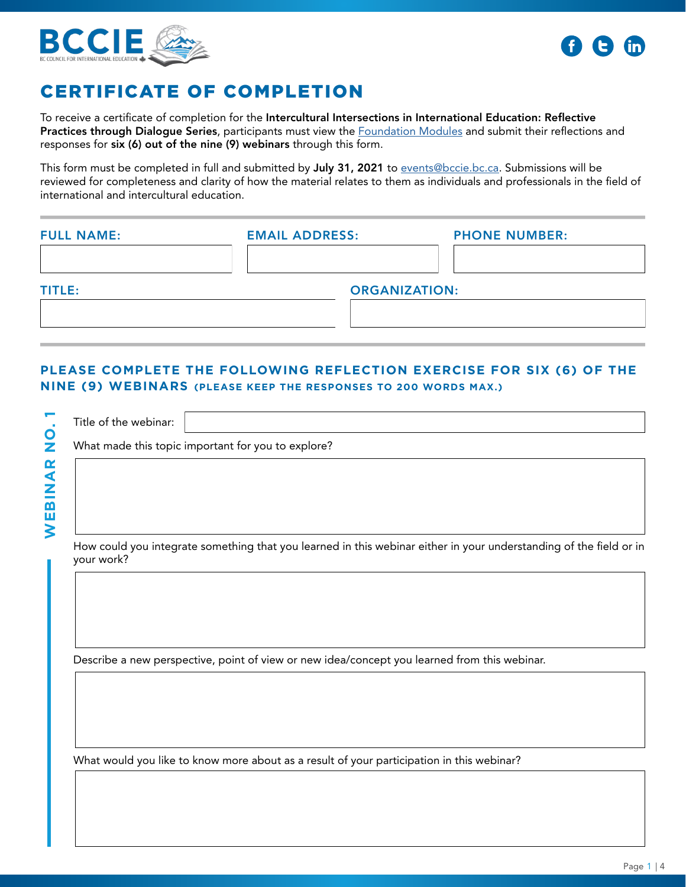



## CERTIFICATE OF COMPLETION

To receive a certificate of completion for the Intercultural Intersections in International Education: Reflective Practices through Dialogue Series, participants must view the **[Foundation Modules](https://bccie.bc.ca/events/intercultural-dialogue-series/) and submit their reflections** and responses for six (6) out of the nine (9) webinars through this form.

This form must be completed in full and submitted by July 31, 2021 to [events@bccie.bc.ca](mailto:events%40bccie.bc.ca?subject=). Submissions will be reviewed for completeness and clarity of how the material relates to them as individuals and professionals in the field of international and intercultural education.

| <b>FULL NAME:</b> | <b>EMAIL ADDRESS:</b> | <b>PHONE NUMBER:</b> |
|-------------------|-----------------------|----------------------|
| TITLE:            | <b>ORGANIZATION:</b>  |                      |
|                   |                       |                      |

## **PLEASE COMPLETE THE FOLLOWING REFLECTION EXERCISE FOR SIX (6) OF THE NINE (9) WEBINARS (PLEASE KEEP THE RESPONSES TO 200 WORDS MAX.)**

|               | Title of the webinar:                              |
|---------------|----------------------------------------------------|
| $\mathbf O$   | What made this topic important for you to explore? |
| $\alpha$<br>◀ |                                                    |
|               |                                                    |
| m<br>ш        |                                                    |
|               |                                                    |

How could you integrate something that you learned in this webinar either in your understanding of the field or in your work?

Describe a new perspective, point of view or new idea/concept you learned from this webinar.

What would you like to know more about as a result of your participation in this webinar?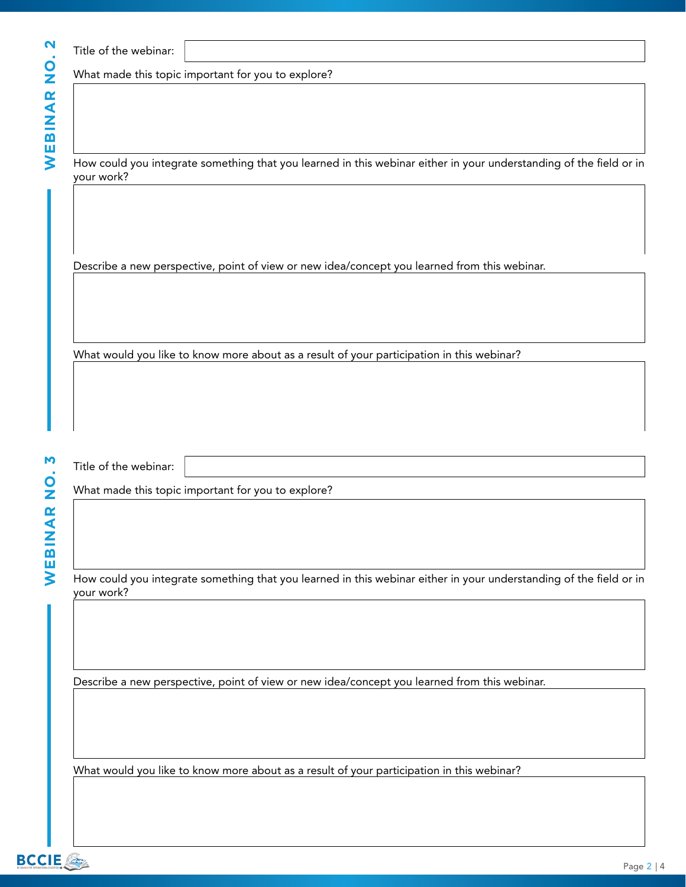| ົ<br>ı |
|--------|
|        |
|        |
|        |
| œ      |
| d      |
|        |
| ١      |
| I      |
| ļ      |
|        |

|  |  | Title of the webinar: |
|--|--|-----------------------|
|--|--|-----------------------|

What made this topic important for you to explore?

How could you integrate something that you learned in this webinar either in your understanding of the field or in your work?

Describe a new perspective, point of view or new idea/concept you learned from this webinar.

What would you like to know more about as a result of your participation in this webinar?

Title of the webinar:

What made this topic important for you to explore?

How could you integrate something that you learned in this webinar either in your understanding of the field or in your work?

Describe a new perspective, point of view or new idea/concept you learned from this webinar.

What would you like to know more about as a result of your participation in this webinar?

**WEBINAR NO. 3**WEBINAR NO.

M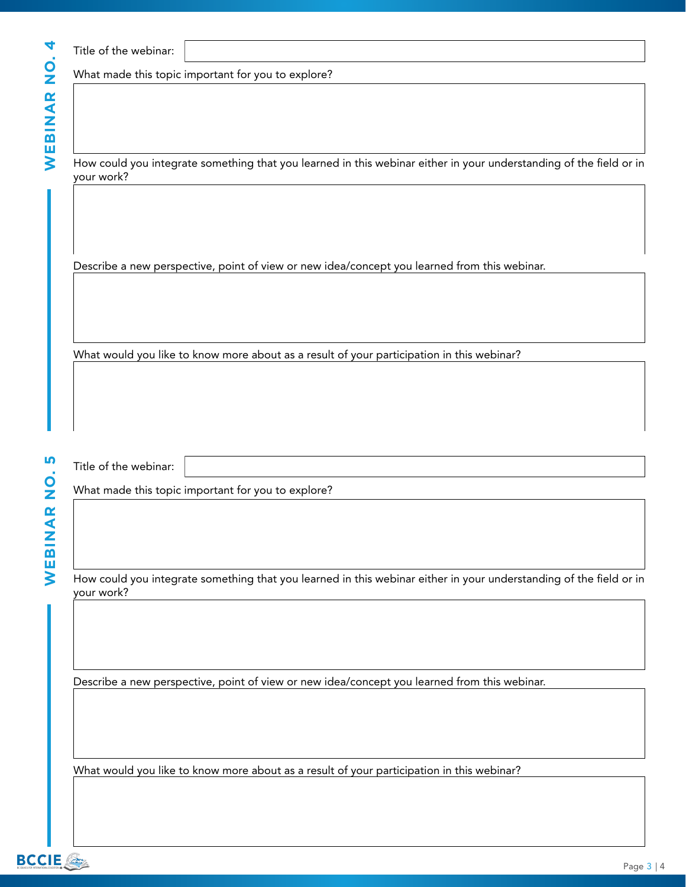| 4      |
|--------|
|        |
| ว<br>C |
|        |
| œ<br>◀ |
|        |
|        |
| m<br>ш |
| ľ      |
|        |

| Title of the webinar: |
|-----------------------|
|-----------------------|

What made this topic important for you to explore?

How could you integrate something that you learned in this webinar either in your understanding of the field or in your work?

Describe a new perspective, point of view or new idea/concept you learned from this webinar.

What would you like to know more about as a result of your participation in this webinar?

Title of the webinar:

What made this topic important for you to explore?

How could you integrate something that you learned in this webinar either in your understanding of the field or in your work?

Describe a new perspective, point of view or new idea/concept you learned from this webinar.

What would you like to know more about as a result of your participation in this webinar?

**WEBINAR NO. 5**WEBINAR NO.

**IV**